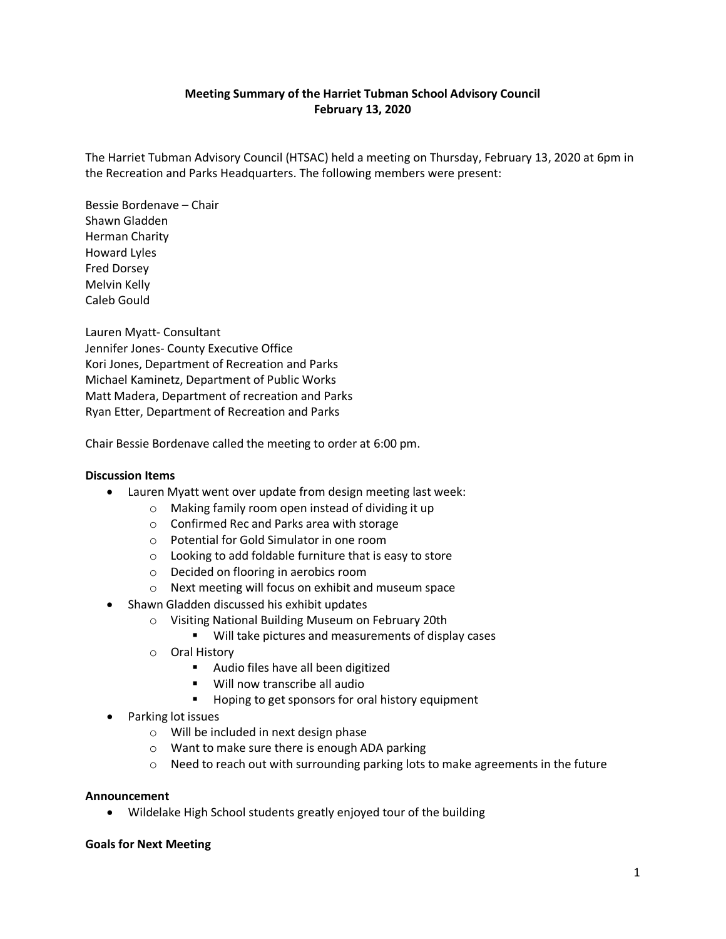# **Meeting Summary of the Harriet Tubman School Advisory Council February 13, 2020**

The Harriet Tubman Advisory Council (HTSAC) held a meeting on Thursday, February 13, 2020 at 6pm in the Recreation and Parks Headquarters. The following members were present:

Bessie Bordenave – Chair Shawn Gladden Herman Charity Howard Lyles Fred Dorsey Melvin Kelly Caleb Gould

Lauren Myatt- Consultant Jennifer Jones- County Executive Office Kori Jones, Department of Recreation and Parks Michael Kaminetz, Department of Public Works Matt Madera, Department of recreation and Parks Ryan Etter, Department of Recreation and Parks

Chair Bessie Bordenave called the meeting to order at 6:00 pm.

## **Discussion Items**

- Lauren Myatt went over update from design meeting last week:
	- o Making family room open instead of dividing it up
	- o Confirmed Rec and Parks area with storage
	- o Potential for Gold Simulator in one room
	- o Looking to add foldable furniture that is easy to store
	- o Decided on flooring in aerobics room
	- o Next meeting will focus on exhibit and museum space
- Shawn Gladden discussed his exhibit updates
	- o Visiting National Building Museum on February 20th
		- Will take pictures and measurements of display cases
	- o Oral History
		- **Audio files have all been digitized**
		- Will now transcribe all audio
		- Hoping to get sponsors for oral history equipment
- Parking lot issues
	- o Will be included in next design phase
	- o Want to make sure there is enough ADA parking
	- $\circ$  Need to reach out with surrounding parking lots to make agreements in the future

### **Announcement**

• Wildelake High School students greatly enjoyed tour of the building

### **Goals for Next Meeting**